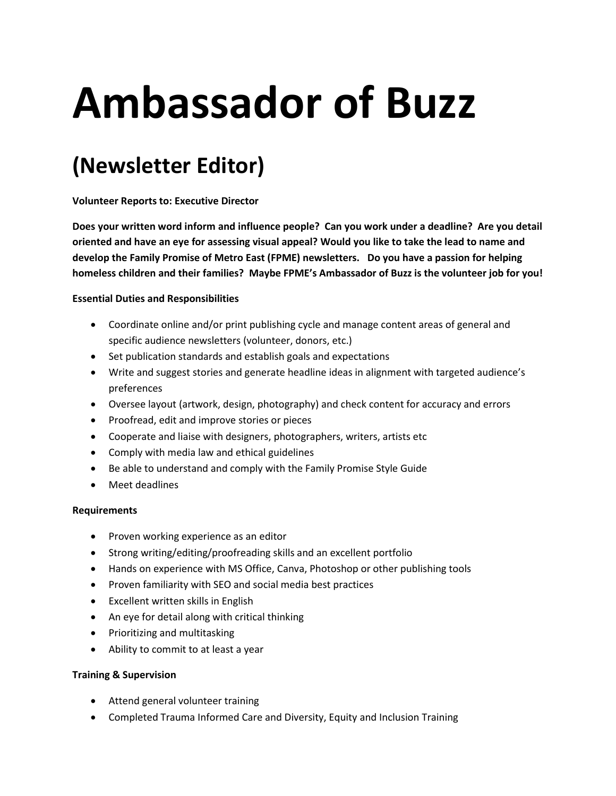# **Ambassador of Buzz**

# **(Newsletter Editor)**

**Volunteer Reports to: Executive Director**

**Does your written word inform and influence people? Can you work under a deadline? Are you detail oriented and have an eye for assessing visual appeal? Would you like to take the lead to name and develop the Family Promise of Metro East (FPME) newsletters. Do you have a passion for helping homeless children and their families? Maybe FPME's Ambassador of Buzz is the volunteer job for you!**

## **Essential Duties and Responsibilities**

- Coordinate online and/or print publishing cycle and manage content areas of general and specific audience newsletters (volunteer, donors, etc.)
- Set publication standards and establish goals and expectations
- Write and suggest stories and generate headline ideas in alignment with targeted audience's preferences
- Oversee layout (artwork, design, photography) and check content for accuracy and errors
- Proofread, edit and improve stories or pieces
- Cooperate and liaise with designers, photographers, writers, artists etc
- Comply with media law and ethical guidelines
- Be able to understand and comply with the Family Promise Style Guide
- Meet deadlines

#### **Requirements**

- Proven working experience as an editor
- Strong writing/editing/proofreading skills and an excellent portfolio
- Hands on experience with MS Office, Canva, Photoshop or other publishing tools
- Proven familiarity with SEO and social media best practices
- Excellent written skills in English
- An eye for detail along with critical thinking
- Prioritizing and multitasking
- Ability to commit to at least a year

# **Training & Supervision**

- Attend general volunteer training
- Completed Trauma Informed Care and Diversity, Equity and Inclusion Training